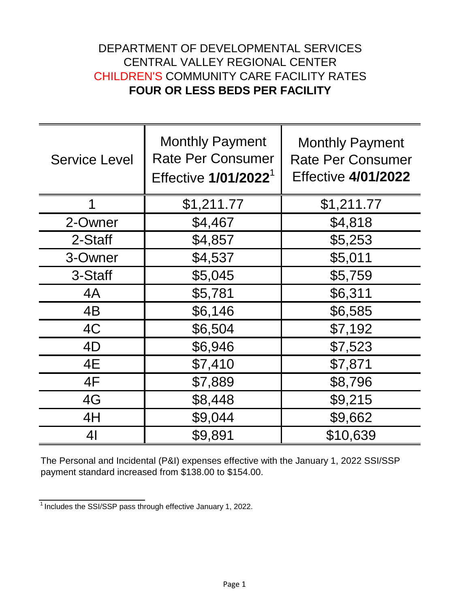## DEPARTMENT OF DEVELOPMENTAL SERVICES CENTRAL VALLEY REGIONAL CENTER CHILDREN'S COMMUNITY CARE FACILITY RATES **FOUR OR LESS BEDS PER FACILITY**

| <b>Service Level</b> | <b>Monthly Payment</b><br><b>Rate Per Consumer</b><br>Effective 1/01/2022 <sup>1</sup> | <b>Monthly Payment</b><br><b>Rate Per Consumer</b><br><b>Effective 4/01/2022</b> |
|----------------------|----------------------------------------------------------------------------------------|----------------------------------------------------------------------------------|
| 1                    | \$1,211.77                                                                             | \$1,211.77                                                                       |
| 2-Owner              | \$4,467                                                                                | \$4,818                                                                          |
| 2-Staff              | \$4,857                                                                                | \$5,253                                                                          |
| 3-Owner              | \$4,537                                                                                | \$5,011                                                                          |
| 3-Staff              | \$5,045                                                                                | \$5,759                                                                          |
| 4A                   | \$5,781                                                                                | \$6,311                                                                          |
| 4B                   | \$6,146                                                                                | \$6,585                                                                          |
| 4C                   | \$6,504                                                                                | \$7,192                                                                          |
| 4D                   | \$6,946                                                                                | \$7,523                                                                          |
| 4E                   | \$7,410                                                                                | \$7,871                                                                          |
| 4F                   | \$7,889                                                                                | \$8,796                                                                          |
| 4G                   | \$8,448                                                                                | \$9,215                                                                          |
| 4H                   | \$9,044                                                                                | \$9,662                                                                          |
| 4 <sub>l</sub>       | \$9,891                                                                                | \$10,639                                                                         |

The Personal and Incidental (P&I) expenses effective with the January 1, 2022 SSI/SSP payment standard increased from \$138.00 to \$154.00.

 $\frac{1}{1}$ Includes the SSI/SSP pass through effective January 1, 2022.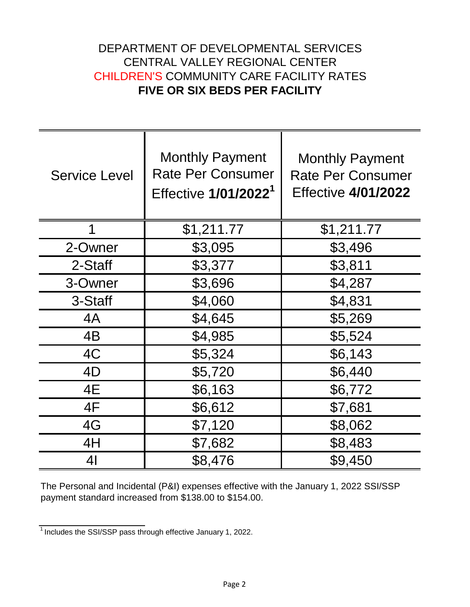## DEPARTMENT OF DEVELOPMENTAL SERVICES CENTRAL VALLEY REGIONAL CENTER CHILDREN'S COMMUNITY CARE FACILITY RATES **FIVE OR SIX BEDS PER FACILITY**

| <b>Service Level</b> | <b>Monthly Payment</b><br><b>Rate Per Consumer</b><br>Effective 1/01/2022 <sup>1</sup> | <b>Monthly Payment</b><br><b>Rate Per Consumer</b><br><b>Effective 4/01/2022</b> |
|----------------------|----------------------------------------------------------------------------------------|----------------------------------------------------------------------------------|
| 1                    | \$1,211.77                                                                             | \$1,211.77                                                                       |
| 2-Owner              | \$3,095                                                                                | \$3,496                                                                          |
| 2-Staff              | \$3,377                                                                                | \$3,811                                                                          |
| 3-Owner              | \$3,696                                                                                | \$4,287                                                                          |
| 3-Staff              | \$4,060                                                                                | \$4,831                                                                          |
| 4A                   | \$4,645                                                                                | \$5,269                                                                          |
| 4B                   | \$4,985                                                                                | \$5,524                                                                          |
| 4C                   | \$5,324                                                                                | \$6,143                                                                          |
| 4D                   | \$5,720                                                                                | \$6,440                                                                          |
| 4E                   | \$6,163                                                                                | \$6,772                                                                          |
| 4F                   | \$6,612                                                                                | \$7,681                                                                          |
| 4G                   | \$7,120                                                                                | \$8,062                                                                          |
| 4H                   | \$7,682                                                                                | \$8,483                                                                          |
| 41                   | \$8,476                                                                                | \$9,450                                                                          |

The Personal and Incidental (P&I) expenses effective with the January 1, 2022 SSI/SSP payment standard increased from \$138.00 to \$154.00.

 $\frac{1}{1}$  Includes the SSI/SSP pass through effective January 1, 2022.